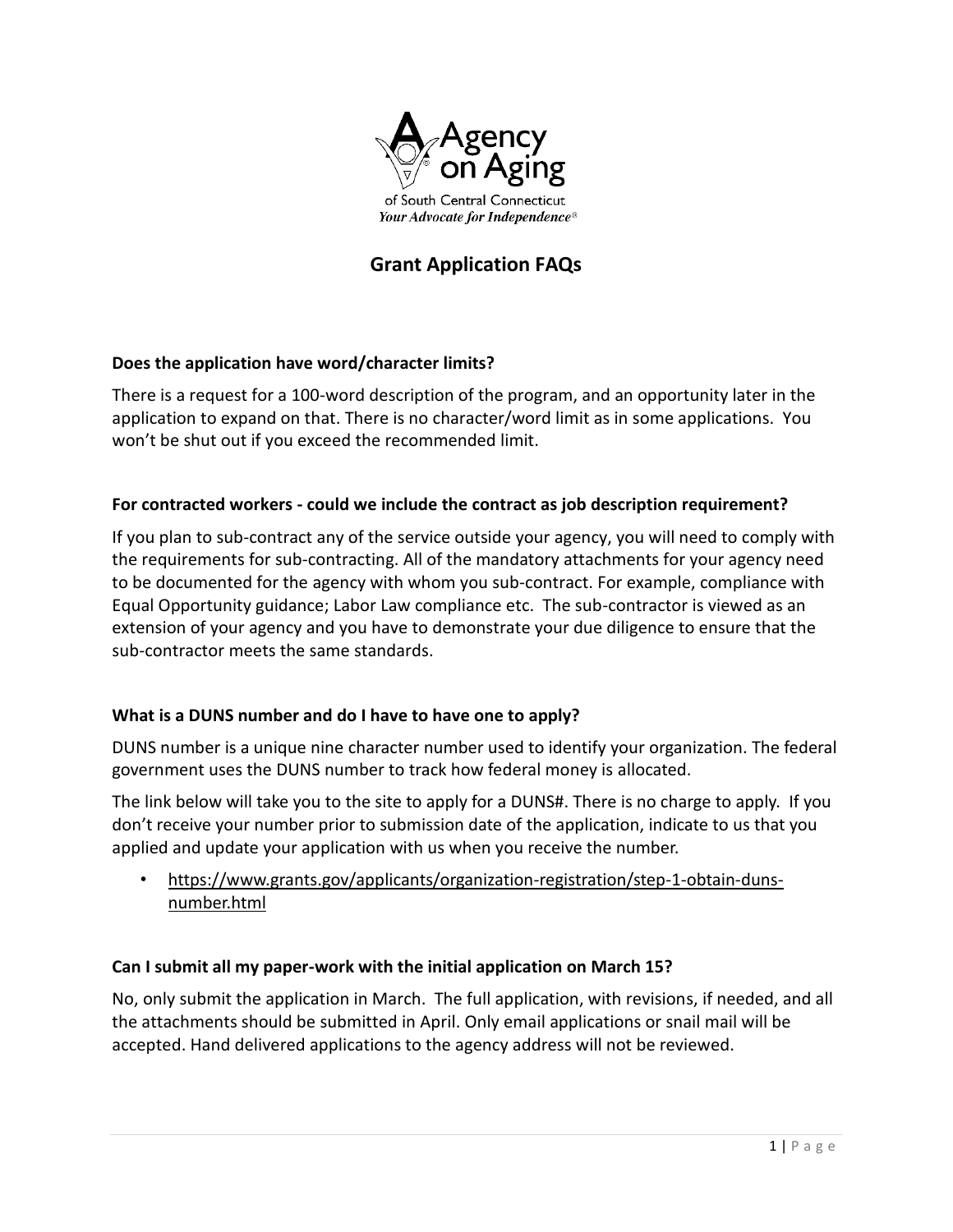

# **Grant Application FAQs**

#### **Does the application have word/character limits?**

There is a request for a 100-word description of the program, and an opportunity later in the application to expand on that. There is no character/word limit as in some applications. You won't be shut out if you exceed the recommended limit.

#### **For contracted workers - could we include the contract as job description requirement?**

If you plan to sub-contract any of the service outside your agency, you will need to comply with the requirements for sub-contracting. All of the mandatory attachments for your agency need to be documented for the agency with whom you sub-contract. For example, compliance with Equal Opportunity guidance; Labor Law compliance etc. The sub-contractor is viewed as an extension of your agency and you have to demonstrate your due diligence to ensure that the sub-contractor meets the same standards.

## **What is a DUNS number and do I have to have one to apply?**

DUNS number is a unique nine character number used to identify your organization. The federal government uses the DUNS number to track how federal money is allocated.

The link below will take you to the site to apply for a DUNS#. There is no charge to apply. If you don't receive your number prior to submission date of the application, indicate to us that you applied and update your application with us when you receive the number.

• [https://www.grants.gov/applicants/organization-registration/step-1-obtain-duns](https://www.grants.gov/applicants/organization-registration/step-1-obtain-duns-number.html)[number.html](https://www.grants.gov/applicants/organization-registration/step-1-obtain-duns-number.html)

#### **Can I submit all my paper-work with the initial application on March 15?**

No, only submit the application in March. The full application, with revisions, if needed, and all the attachments should be submitted in April. Only email applications or snail mail will be accepted. Hand delivered applications to the agency address will not be reviewed.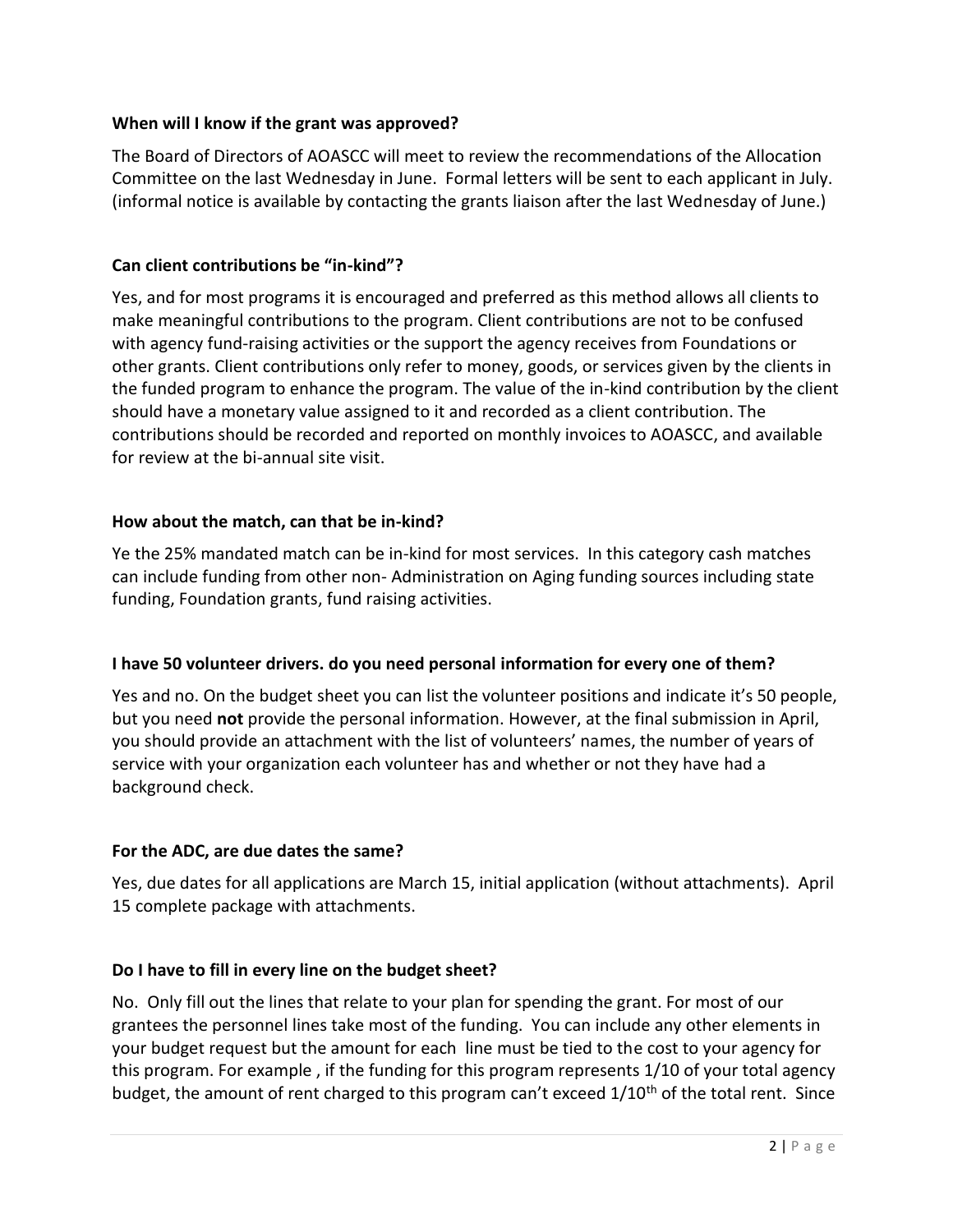#### **When will I know if the grant was approved?**

The Board of Directors of AOASCC will meet to review the recommendations of the Allocation Committee on the last Wednesday in June. Formal letters will be sent to each applicant in July. (informal notice is available by contacting the grants liaison after the last Wednesday of June.)

#### **Can client contributions be "in-kind"?**

Yes, and for most programs it is encouraged and preferred as this method allows all clients to make meaningful contributions to the program. Client contributions are not to be confused with agency fund-raising activities or the support the agency receives from Foundations or other grants. Client contributions only refer to money, goods, or services given by the clients in the funded program to enhance the program. The value of the in-kind contribution by the client should have a monetary value assigned to it and recorded as a client contribution. The contributions should be recorded and reported on monthly invoices to AOASCC, and available for review at the bi-annual site visit.

#### **How about the match, can that be in-kind?**

Ye the 25% mandated match can be in-kind for most services. In this category cash matches can include funding from other non- Administration on Aging funding sources including state funding, Foundation grants, fund raising activities.

## **I have 50 volunteer drivers. do you need personal information for every one of them?**

Yes and no. On the budget sheet you can list the volunteer positions and indicate it's 50 people, but you need **not** provide the personal information. However, at the final submission in April, you should provide an attachment with the list of volunteers' names, the number of years of service with your organization each volunteer has and whether or not they have had a background check.

## **For the ADC, are due dates the same?**

Yes, due dates for all applications are March 15, initial application (without attachments). April 15 complete package with attachments.

#### **Do I have to fill in every line on the budget sheet?**

No. Only fill out the lines that relate to your plan for spending the grant. For most of our grantees the personnel lines take most of the funding. You can include any other elements in your budget request but the amount for each line must be tied to the cost to your agency for this program. For example , if the funding for this program represents 1/10 of your total agency budget, the amount of rent charged to this program can't exceed 1/10<sup>th</sup> of the total rent. Since